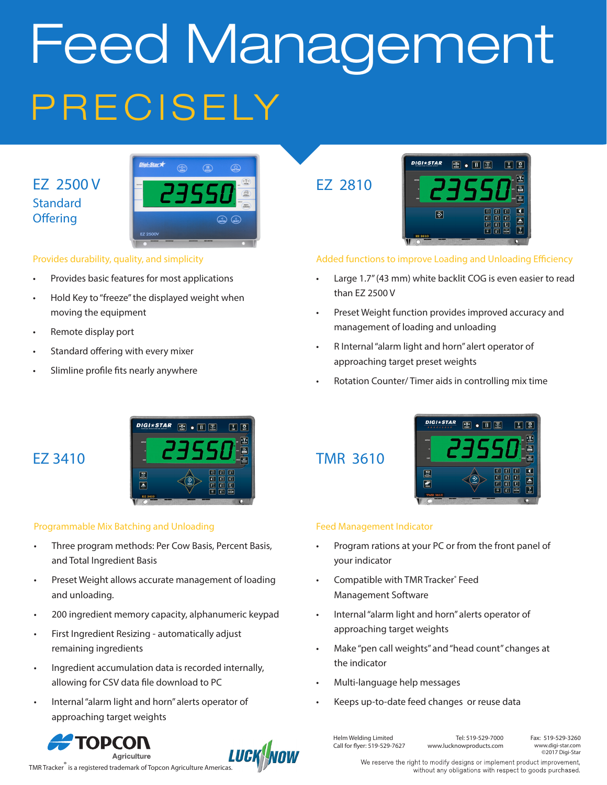# PRECISELY Feed Management

#### EZ 2500 V **Standard Offering**



#### Provides durability, quality, and simplicity

- Provides basic features for most applications
- Hold Key to "freeze" the displayed weight when moving the equipment
- Remote display port
- Standard offering with every mixer
- Slimline profile fits nearly anywhere

### EZ 3410



#### Programmable Mix Batching and Unloading

- Three program methods: Per Cow Basis, Percent Basis, and Total Ingredient Basis
- Preset Weight allows accurate management of loading and unloading.
- 200 ingredient memory capacity, alphanumeric keypad
- First Ingredient Resizing automatically adjust remaining ingredients
- Ingredient accumulation data is recorded internally, allowing for CSV data file download to PC
- Internal "alarm light and horn" alerts operator of approaching target weights





EZ 2810



#### Added functions to improve Loading and Unloading Efficiency

- Large 1.7" (43 mm) white backlit COG is even easier to read than EZ 2500 V
- Preset Weight function provides improved accuracy and management of loading and unloading
- R Internal "alarm light and horn" alert operator of approaching target preset weights
- Rotation Counter/ Timer aids in controlling mix time

#### TMR 3610



#### Feed Management Indicator

- Program rations at your PC or from the front panel of your indicator
- Compatible with TMR Tracker® Feed Management Software
- Internal "alarm light and horn" alerts operator of approaching target weights
- Make "pen call weights" and "head count" changes at the indicator
- Multi-language help messages
- Keeps up-to-date feed changes or reuse data

Helm Welding Limited Call for flyer: 519-529-7627

Tel: 519-529-7000 www.lucknowproducts.com Fax: 519-529-3260 www.digi-star.com ©2017 Digi-Star

We reserve the right to modify designs or implement product improvement, without any obligations with respect to goods purchased.